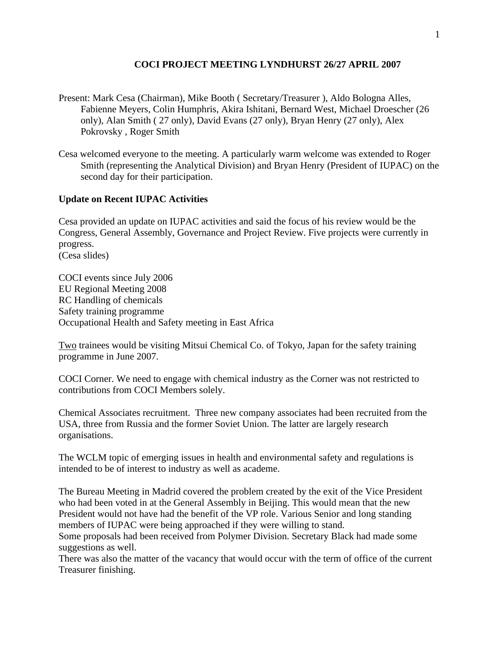### **COCI PROJECT MEETING LYNDHURST 26/27 APRIL 2007**

- Present: Mark Cesa (Chairman), Mike Booth ( Secretary/Treasurer ), Aldo Bologna Alles, Fabienne Meyers, Colin Humphris, Akira Ishitani, Bernard West, Michael Droescher (26 only), Alan Smith ( 27 only), David Evans (27 only), Bryan Henry (27 only), Alex Pokrovsky , Roger Smith
- Cesa welcomed everyone to the meeting. A particularly warm welcome was extended to Roger Smith (representing the Analytical Division) and Bryan Henry (President of IUPAC) on the second day for their participation.

#### **Update on Recent IUPAC Activities**

Cesa provided an update on IUPAC activities and said the focus of his review would be the Congress, General Assembly, Governance and Project Review. Five projects were currently in progress.

(Cesa slides)

COCI events since July 2006 EU Regional Meeting 2008 RC Handling of chemicals Safety training programme Occupational Health and Safety meeting in East Africa

Two trainees would be visiting Mitsui Chemical Co. of Tokyo, Japan for the safety training programme in June 2007.

COCI Corner. We need to engage with chemical industry as the Corner was not restricted to contributions from COCI Members solely.

Chemical Associates recruitment. Three new company associates had been recruited from the USA, three from Russia and the former Soviet Union. The latter are largely research organisations.

The WCLM topic of emerging issues in health and environmental safety and regulations is intended to be of interest to industry as well as academe.

The Bureau Meeting in Madrid covered the problem created by the exit of the Vice President who had been voted in at the General Assembly in Beijing. This would mean that the new President would not have had the benefit of the VP role. Various Senior and long standing members of IUPAC were being approached if they were willing to stand.

Some proposals had been received from Polymer Division. Secretary Black had made some suggestions as well.

There was also the matter of the vacancy that would occur with the term of office of the current Treasurer finishing.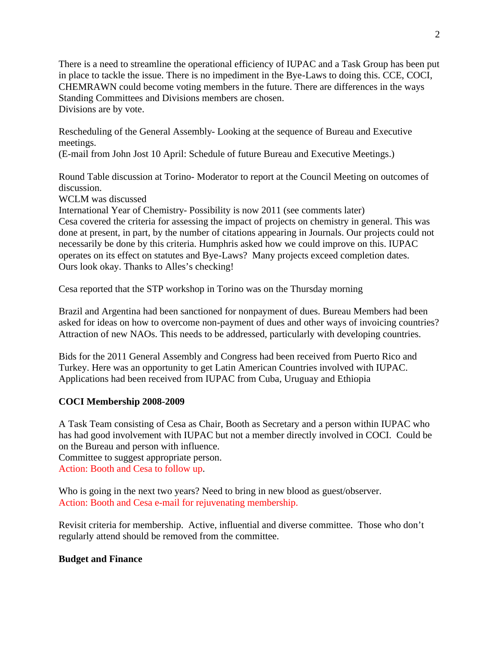There is a need to streamline the operational efficiency of IUPAC and a Task Group has been put in place to tackle the issue. There is no impediment in the Bye-Laws to doing this. CCE, COCI, CHEMRAWN could become voting members in the future. There are differences in the ways Standing Committees and Divisions members are chosen. Divisions are by vote.

Rescheduling of the General Assembly- Looking at the sequence of Bureau and Executive meetings.

(E-mail from John Jost 10 April: Schedule of future Bureau and Executive Meetings.)

Round Table discussion at Torino- Moderator to report at the Council Meeting on outcomes of discussion.

WCLM was discussed

International Year of Chemistry- Possibility is now 2011 (see comments later) Cesa covered the criteria for assessing the impact of projects on chemistry in general. This was done at present, in part, by the number of citations appearing in Journals. Our projects could not necessarily be done by this criteria. Humphris asked how we could improve on this. IUPAC operates on its effect on statutes and Bye-Laws? Many projects exceed completion dates. Ours look okay. Thanks to Alles's checking!

Cesa reported that the STP workshop in Torino was on the Thursday morning

Brazil and Argentina had been sanctioned for nonpayment of dues. Bureau Members had been asked for ideas on how to overcome non-payment of dues and other ways of invoicing countries? Attraction of new NAOs. This needs to be addressed, particularly with developing countries.

Bids for the 2011 General Assembly and Congress had been received from Puerto Rico and Turkey. Here was an opportunity to get Latin American Countries involved with IUPAC. Applications had been received from IUPAC from Cuba, Uruguay and Ethiopia

# **COCI Membership 2008-2009**

A Task Team consisting of Cesa as Chair, Booth as Secretary and a person within IUPAC who has had good involvement with IUPAC but not a member directly involved in COCI. Could be on the Bureau and person with influence.

Committee to suggest appropriate person. Action: Booth and Cesa to follow up.

Who is going in the next two years? Need to bring in new blood as guest/observer. Action: Booth and Cesa e-mail for rejuvenating membership.

Revisit criteria for membership. Active, influential and diverse committee. Those who don't regularly attend should be removed from the committee.

# **Budget and Finance**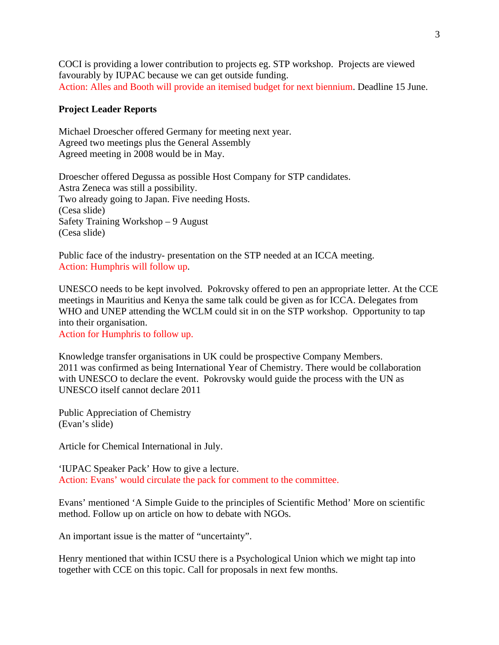COCI is providing a lower contribution to projects eg. STP workshop. Projects are viewed favourably by IUPAC because we can get outside funding. Action: Alles and Booth will provide an itemised budget for next biennium. Deadline 15 June.

#### **Project Leader Reports**

Michael Droescher offered Germany for meeting next year. Agreed two meetings plus the General Assembly Agreed meeting in 2008 would be in May.

Droescher offered Degussa as possible Host Company for STP candidates. Astra Zeneca was still a possibility. Two already going to Japan. Five needing Hosts. (Cesa slide) Safety Training Workshop – 9 August (Cesa slide)

Public face of the industry- presentation on the STP needed at an ICCA meeting. Action: Humphris will follow up.

UNESCO needs to be kept involved. Pokrovsky offered to pen an appropriate letter. At the CCE meetings in Mauritius and Kenya the same talk could be given as for ICCA. Delegates from WHO and UNEP attending the WCLM could sit in on the STP workshop. Opportunity to tap into their organisation.

Action for Humphris to follow up.

Knowledge transfer organisations in UK could be prospective Company Members. 2011 was confirmed as being International Year of Chemistry. There would be collaboration with UNESCO to declare the event. Pokrovsky would guide the process with the UN as UNESCO itself cannot declare 2011

Public Appreciation of Chemistry (Evan's slide)

Article for Chemical International in July.

'IUPAC Speaker Pack' How to give a lecture. Action: Evans' would circulate the pack for comment to the committee.

Evans' mentioned 'A Simple Guide to the principles of Scientific Method' More on scientific method. Follow up on article on how to debate with NGOs.

An important issue is the matter of "uncertainty".

Henry mentioned that within ICSU there is a Psychological Union which we might tap into together with CCE on this topic. Call for proposals in next few months.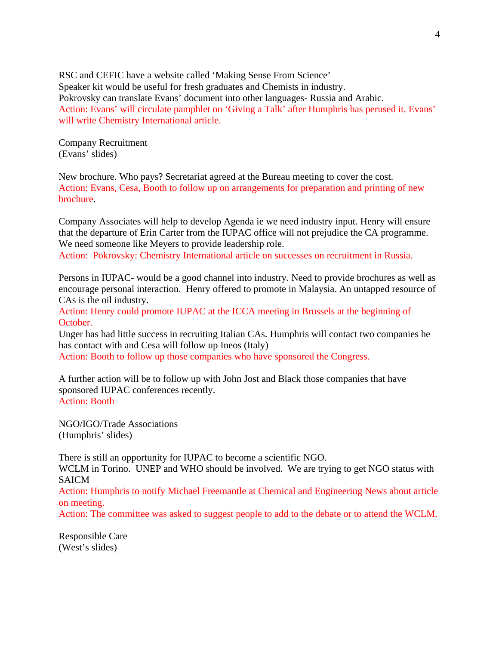RSC and CEFIC have a website called 'Making Sense From Science' Speaker kit would be useful for fresh graduates and Chemists in industry. Pokrovsky can translate Evans' document into other languages- Russia and Arabic. Action: Evans' will circulate pamphlet on 'Giving a Talk' after Humphris has perused it. Evans' will write Chemistry International article.

Company Recruitment (Evans' slides)

New brochure. Who pays? Secretariat agreed at the Bureau meeting to cover the cost. Action: Evans, Cesa, Booth to follow up on arrangements for preparation and printing of new brochure.

Company Associates will help to develop Agenda ie we need industry input. Henry will ensure that the departure of Erin Carter from the IUPAC office will not prejudice the CA programme. We need someone like Meyers to provide leadership role.

Action: Pokrovsky: Chemistry International article on successes on recruitment in Russia.

Persons in IUPAC- would be a good channel into industry. Need to provide brochures as well as encourage personal interaction. Henry offered to promote in Malaysia. An untapped resource of CAs is the oil industry.

Action: Henry could promote IUPAC at the ICCA meeting in Brussels at the beginning of October.

Unger has had little success in recruiting Italian CAs. Humphris will contact two companies he has contact with and Cesa will follow up Ineos (Italy)

Action: Booth to follow up those companies who have sponsored the Congress.

A further action will be to follow up with John Jost and Black those companies that have sponsored IUPAC conferences recently. Action: Booth

NGO/IGO/Trade Associations (Humphris' slides)

There is still an opportunity for IUPAC to become a scientific NGO.

WCLM in Torino. UNEP and WHO should be involved. We are trying to get NGO status with SAICM

Action: Humphris to notify Michael Freemantle at Chemical and Engineering News about article on meeting.

Action: The committee was asked to suggest people to add to the debate or to attend the WCLM.

Responsible Care (West's slides)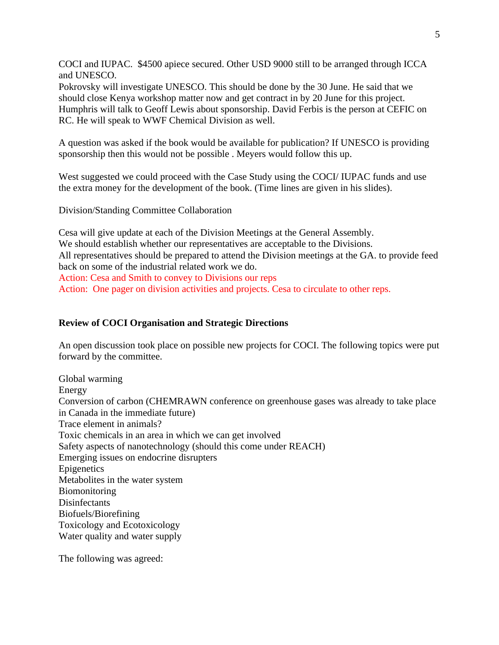COCI and IUPAC. \$4500 apiece secured. Other USD 9000 still to be arranged through ICCA and UNESCO.

Pokrovsky will investigate UNESCO. This should be done by the 30 June. He said that we should close Kenya workshop matter now and get contract in by 20 June for this project. Humphris will talk to Geoff Lewis about sponsorship. David Ferbis is the person at CEFIC on RC. He will speak to WWF Chemical Division as well.

A question was asked if the book would be available for publication? If UNESCO is providing sponsorship then this would not be possible . Meyers would follow this up.

West suggested we could proceed with the Case Study using the COCI/ IUPAC funds and use the extra money for the development of the book. (Time lines are given in his slides).

Division/Standing Committee Collaboration

Cesa will give update at each of the Division Meetings at the General Assembly. We should establish whether our representatives are acceptable to the Divisions. All representatives should be prepared to attend the Division meetings at the GA. to provide feed back on some of the industrial related work we do. Action: Cesa and Smith to convey to Divisions our reps Action: One pager on division activities and projects. Cesa to circulate to other reps.

### **Review of COCI Organisation and Strategic Directions**

An open discussion took place on possible new projects for COCI. The following topics were put forward by the committee.

Global warming Energy Conversion of carbon (CHEMRAWN conference on greenhouse gases was already to take place in Canada in the immediate future) Trace element in animals? Toxic chemicals in an area in which we can get involved Safety aspects of nanotechnology (should this come under REACH) Emerging issues on endocrine disrupters Epigenetics Metabolites in the water system **Biomonitoring** Disinfectants Biofuels/Biorefining Toxicology and Ecotoxicology Water quality and water supply

The following was agreed: